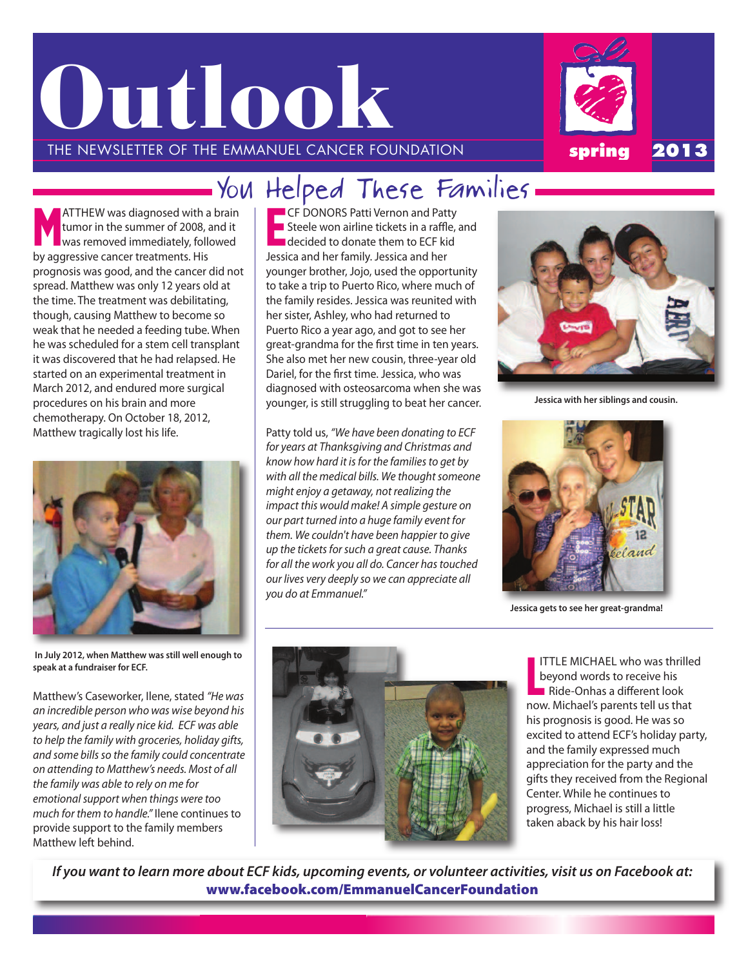



# - You Helped These Families —

M **ATTHEW was diagnosed with a brain** tumor in the summer of 2008, and it was removed immediately, followed by aggressive cancer treatments. his prognosis was good, and the cancer did not spread. Matthew was only 12 years old at the time. The treatment was debilitating, though, causing Matthew to become so weak that he needed a feeding tube. When he was scheduled for a stem cell transplant it was discovered that he had relapsed. he started on an experimental treatment in March 2012, and endured more surgical procedures on his brain and more chemotherapy. On October 18, 2012, Matthew tragically lost his life.



**In July 2012, when Matthew was still well enough to speak at a fundraiser for ECF.**

Matthew's caseworker, ilene, stated "He was an incredible person who was wise beyond his years, and just a really nice kid. ECF was able to help the family with groceries, holiday gifts, and some bills so the family could concentrate on attending to Matthew's needs. Most of all the family was able to rely on me for emotional support when things were too much for them to handle." Ilene continues to provide support to the family members Matthew left behind.

E **CF DONORS Patti Vernon and Patty** steele won airline tickets in a raffle, and decided to donate them to ECF kid Jessica and her family. Jessica and her younger brother, Jojo, used the opportunity to take a trip to Puerto Rico, where much of the family resides. Jessica was reunited with her sister, Ashley, who had returned to Puerto Rico a year ago, and got to see her great-grandma for the first time in ten years. she also met her new cousin, three-year old Dariel, for the first time. Jessica, who was diagnosed with osteosarcoma when she was younger, is still struggling to beat her cancer.

Patty told us, "We have been donating to ECF for years at Thanksgiving and Christmas and know how hard it is for the families to get by with all the medical bills. We thought someone might enjoy a getaway, not realizing the impact this would make! A simple gesture on our part turned into a huge family event for them. We couldn't have been happier to give up the tickets for such a great cause. Thanks for all the work you all do. Cancer has touched our lives very deeply so we can appreciate all you do at Emmanuel."



**Jessica with her siblings and cousin.**



**Jessica gets to see her great-grandma!**



ITTLE MICHAEL who was thri<br>beyond words to receive his<br>Ride-Onhas a different look now. Michael's parents tell us that his prognosis is good. he was so excited to attend ECF's holiday party, and the family expressed much appreciation for the party and the gifts they received from the Regional center. While he continues to progress, Michael is still a little taken aback by his hair loss! ITTLE MICHAEL who was thrilled beyond words to receive his

If you want to learn more about ECF kids, upcoming events, or volunteer activities, visit us on Facebook at: **www.facebook.com/EmmanuelCancerFoundation**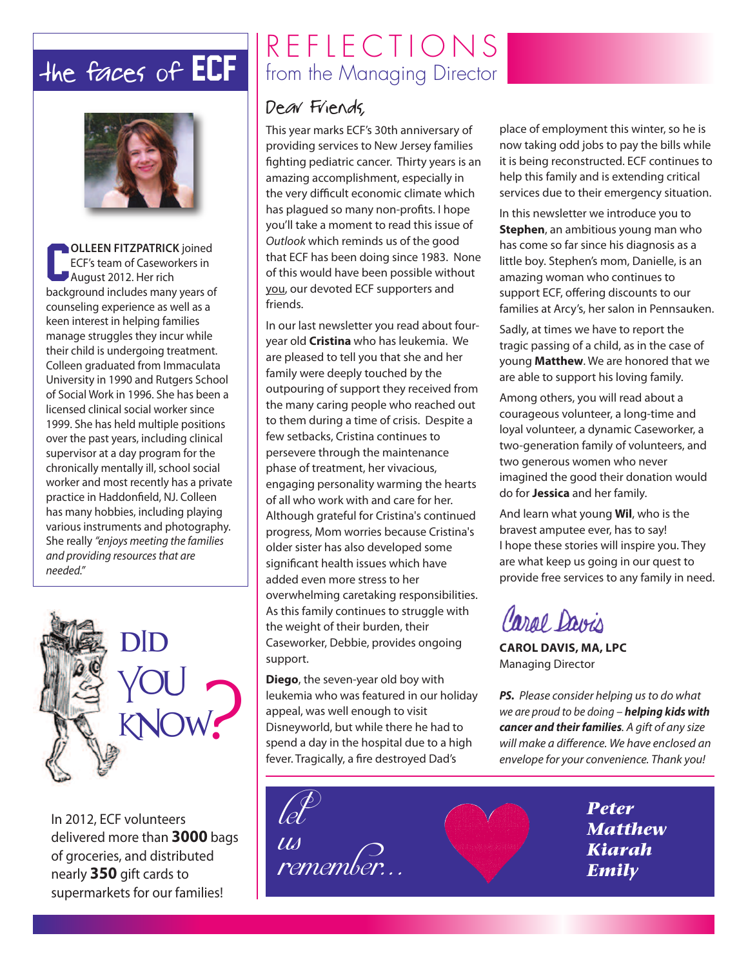

**COLLEEN FITZPATRICK** joined<br> **ECF's team of Caseworkers in**<br> **August 2012. Her rich** ecF's team of caseworkers in August 2012. Her rich background includes many years of counseling experience as well as a keen interest in helping families manage struggles they incur while their child is undergoing treatment. colleen graduated from immaculata University in 1990 and Rutgers school of social Work in 1996. she has been a licensed clinical social worker since 1999. she has held multiple positions over the past years, including clinical supervisor at a day program for the chronically mentally ill, school social worker and most recently has a private practice in Haddonfield, NJ. Colleen has many hobbies, including playing various instruments and photography. she really "enjoys meeting the families and providing resources that are needed."



in 2012, ecF volunteers delivered more than **3000** bags of groceries, and distributed nearly **350** gift cards to supermarkets for our families!

# $REFE$  R E F L E C T I O N S<br>the faces of ECF from the Managing Director from the Managing Director

### Dear Friends,

This year marks ECF's 30th anniversary of providing services to New Jersey families fighting pediatric cancer. Thirty years is an amazing accomplishment, especially in the very difficult economic climate which has plagued so many non-profits. I hope you'll take a moment to read this issue of Outlook which reminds us of the good that ECF has been doing since 1983. None of this would have been possible without you, our devoted ECF supporters and friends.

in our last newsletter you read about fouryear old **Cristina** who has leukemia. We are pleased to tell you that she and her family were deeply touched by the outpouring of support they received from the many caring people who reached out to them during a time of crisis. Despite a few setbacks, Cristina continues to persevere through the maintenance phase of treatment, her vivacious, engaging personality warming the hearts of all who work with and care for her. although grateful for cristina's continued progress, Mom worries because cristina's older sister has also developed some significant health issues which have added even more stress to her overwhelming caretaking responsibilities. As this family continues to struggle with the weight of their burden, their Caseworker, Debbie, provides ongoing support.

**Diego**, the seven-year old boy with leukemia who was featured in our holiday appeal, was well enough to visit Disneyworld, but while there he had to spend a day in the hospital due to a high fever. Tragically, a fire destroyed Dad's

place of employment this winter, so he is now taking odd jobs to pay the bills while it is being reconstructed. ECF continues to help this family and is extending critical services due to their emergency situation.

in this newsletter we introduce you to **Stephen**, an ambitious young man who has come so far since his diagnosis as a little boy. Stephen's mom, Danielle, is an amazing woman who continues to support ECF, offering discounts to our families at Arcy's, her salon in Pennsauken.

sadly, at times we have to report the tragic passing of a child, as in the case of young **Matthew**. We are honored that we are able to support his loving family.

among others, you will read about a courageous volunteer, a long-time and loyal volunteer, a dynamic caseworker, a two-generation family of volunteers, and two generous women who never imagined the good their donation would do for **Jessica** and her family.

and learn what young **Wil**, who is the bravest amputee ever, has to say! I hope these stories will inspire you. They are what keep us going in our quest to provide free services to any family in need.

Caral Davis

**CAROL DAVIS, MA, LPC Managing Director** 

**PS.** Please consider helping us to do what we are proud to be doing – *helping kids with* **cancer and their families**. A gift of any size will make a difference. We have enclosed an envelope for your convenience. Thank you!

let us remember.

*Peter Matthew Kiarah Emily*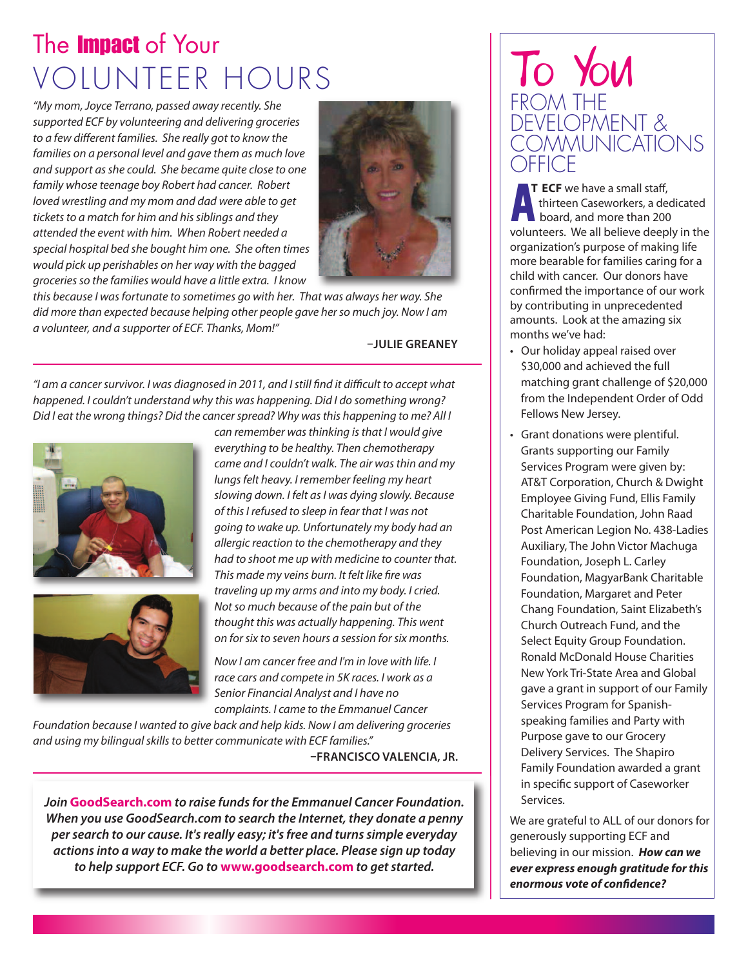# The **Impact** of Your VOLUNTEER HOURS

"My mom, Joyce Terrano, passed away recently. She supported ECF by volunteering and delivering groceries to a few different families. She really got to know the families on a personal level and gave them as much love and support as she could. She became quite close to one family whose teenage boy Robert had cancer. Robert loved wrestling and my mom and dad were able to get tickets to a match for him and his siblings and they attended the event with him. When Robert needed a special hospital bed she bought him one. She often times would pick up perishables on her way with the bagged groceries so the families would have a little extra. I know



this because I was fortunate to sometimes go with her. That was always her way. She did more than expected because helping other people gave her so much joy. Now I am a volunteer, and a supporter of ECF. Thanks, Mom!"

#### **–JULIE GREANEY**

"I am a cancer survivor. I was diagnosed in 2011, and I still find it difficult to accept what happened. I couldn't understand why this was happening. Did I do something wrong? Did I eat the wrong things? Did the cancer spread? Why was this happening to me? All I





can remember was thinking is that I would give everything to be healthy. Then chemotherapy came and I couldn't walk. The air was thin and my lungs felt heavy. I remember feeling my heart slowing down. I felt as I was dying slowly. Because of this I refused to sleep in fear that I was not going to wake up. Unfortunately my body had an allergic reaction to the chemotherapy and they had to shoot me up with medicine to counter that. This made my veins burn. It felt like fire was traveling up my arms and into my body. I cried. Not so much because of the pain but of the thought this was actually happening. This went on for six to seven hours a session for six months.

Now I am cancer free and I'm in love with life. I race cars and compete in 5K races. I work as a Senior Financial Analyst and I have no complaints. I came to the Emmanuel Cancer

Foundation because I wanted to give back and help kids. Now I am delivering groceries and using my bilingual skills to better communicate with ECF families."

**–FRANCISCO VALENCIA, JR.**

*Join* **GoodSearch.com** *to raise fundsfor the Emmanuel Cancer Foundation. When you use GoodSearch.com to search the Internet, they donate a penny persearch to our cause. It'sreally easy; it'sfree and turnssimple everyday actionsinto a way to make the world a better place. Please sign up today to help* support *ECF*. Go *to* **www.goodsearch.com** *to get started.* 

## To You FROM THE DEVELOPMENT & COMMUNICATIONS **DFFICE**

board, and more than 200 volunteers. We all believe deeply in the organization's purpose of making life more bearable for families caring for a child with cancer. Our donors have confirmed the importance of our work by contributing in unprecedented amounts. look at the amazing six months we've had: **T ECF** we have a small staff, thirteen caseworkers, a dedicated

- Our holiday appeal raised over \$30,000 and achieved the full matching grant challenge of \$20,000 from the independent Order of Odd Fellows New Jersey.
- Grant donations were plentiful. Grants supporting our Family Services Program were given by: AT&T Corporation, Church & Dwight employee Giving Fund, ellis Family charitable Foundation, John Raad Post American Legion No. 438-Ladies Auxiliary, The John Victor Machuga Foundation, Joseph L. Carley Foundation, MagyarBank charitable Foundation, Margaret and Peter chang Foundation, saint elizabeth's church Outreach Fund, and the Select Equity Group Foundation. Ronald McDonald House Charities New York Tri-State Area and Global gave a grant in support of our Family Services Program for Spanishspeaking families and Party with Purpose gave to our Grocery Delivery Services. The Shapiro Family Foundation awarded a grant in specific support of caseworker services.

We are grateful to ALL of our donors for generously supporting ECF and believing in our mission. *How can we ever express enough gratitude forthis enormous vote of confidence?*